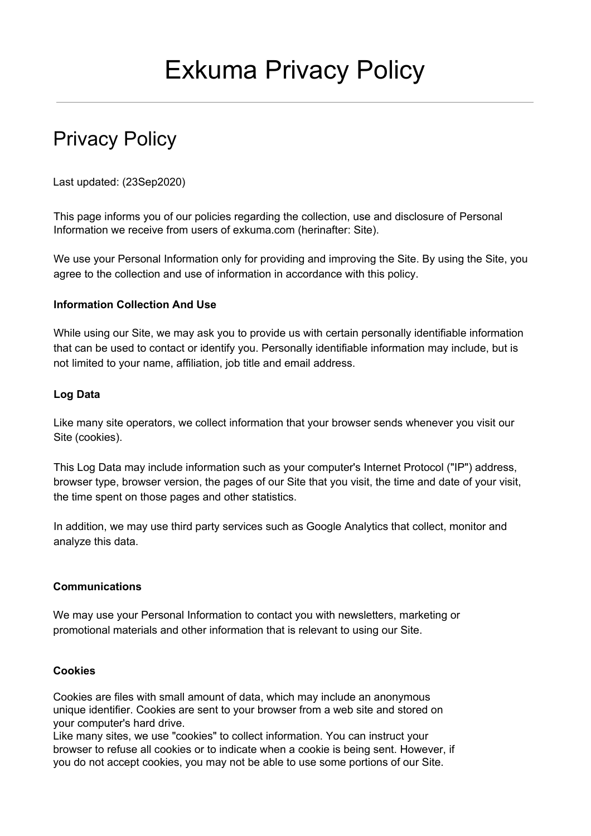# Privacy Policy

Last updated: (23Sep2020)

This page informs you of our policies regarding the collection, use and disclosure of Personal Information we receive from users of exkuma.com (herinafter: Site).

We use your Personal Information only for providing and improving the Site. By using the Site, you agree to the collection and use of information in accordance with this policy.

## **Information Collection And Use**

While using our Site, we may ask you to provide us with certain personally identifiable information that can be used to contact or identify you. Personally identifiable information may include, but is not limited to your name, affiliation, job title and email address.

## **Log Data**

Like many site operators, we collect information that your browser sends whenever you visit our Site (cookies).

This Log Data may include information such as your computer's Internet Protocol ("IP") address, browser type, browser version, the pages of our Site that you visit, the time and date of your visit, the time spent on those pages and other statistics.

In addition, we may use third party services such as Google Analytics that collect, monitor and analyze this data.

# **Communications**

We may use your Personal Information to contact you with newsletters, marketing or promotional materials and other information that is relevant to using our Site.

#### **Cookies**

Cookies are files with small amount of data, which may include an anonymous unique identifier. Cookies are sent to your browser from a web site and stored on your computer's hard drive.

Like many sites, we use "cookies" to collect information. You can instruct your browser to refuse all cookies or to indicate when a cookie is being sent. However, if you do not accept cookies, you may not be able to use some portions of our Site.